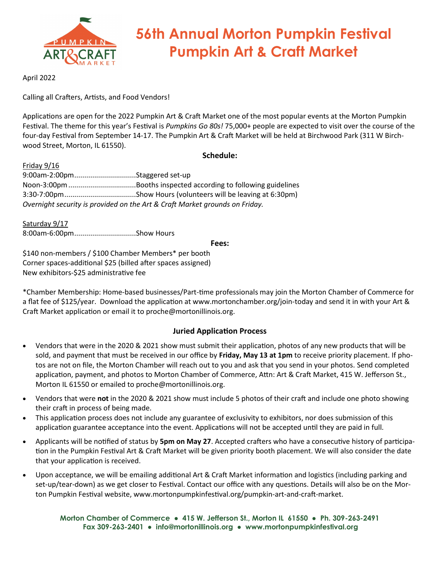

# **56th Annual Morton Pumpkin Festival Pumpkin Art & Craft Market**

April 2022

Calling all Crafters, Artists, and Food Vendors!

Applications are open for the 2022 Pumpkin Art & Craft Market one of the most popular events at the Morton Pumpkin Festival. The theme for this year's Festival is *Pumpkins Go 80s!* 75,000+ people are expected to visit over the course of the four-day Festival from September 14-17. The Pumpkin Art & Craft Market will be held at Birchwood Park (311 W Birchwood Street, Morton, IL 61550).

# **Schedule:**

Friday 9/16 9:00am-2:00pm...............................Staggered set-up Noon-3:00pm..................................Booths inspected according to following guidelines 3:30-7:00pm....................................Show Hours (volunteers will be leaving at 6:30pm) *Overnight security is provided on the Art & Craft Market grounds on Friday.*

Saturday 9/17 8:00am-6:00pm...............................Show Hours

## **Fees:**

\$140 non-members / \$100 Chamber Members\* per booth Corner spaces-additional \$25 (billed after spaces assigned) New exhibitors-\$25 administrative fee

\*Chamber Membership: Home-based businesses/Part-time professionals may join the Morton Chamber of Commerce for a flat fee of \$125/year. Download the application at www.mortonchamber.org/join-today and send it in with your Art & Craft Market application or email it to proche@mortonillinois.org.

# **Juried Application Process**

- Vendors that were in the 2020 & 2021 show must submit their application, photos of any new products that will be sold, and payment that must be received in our office by **Friday, May 13 at 1pm** to receive priority placement. If photos are not on file, the Morton Chamber will reach out to you and ask that you send in your photos. Send completed application, payment, and photos to Morton Chamber of Commerce, Attn: Art & Craft Market, 415 W. Jefferson St., Morton IL 61550 or emailed to proche@mortonillinois.org.
- Vendors that were **not** in the 2020 & 2021 show must include 5 photos of their craft and include one photo showing their craft in process of being made.
- This application process does not include any guarantee of exclusivity to exhibitors, nor does submission of this application guarantee acceptance into the event. Applications will not be accepted until they are paid in full.
- Applicants will be notified of status by **5pm on May 27**. Accepted crafters who have a consecutive history of participation in the Pumpkin Festival Art & Craft Market will be given priority booth placement. We will also consider the date that your application is received.
- Upon acceptance, we will be emailing additional Art & Craft Market information and logistics (including parking and set-up/tear-down) as we get closer to Festival. Contact our office with any questions. Details will also be on the Morton Pumpkin Festival website, www.mortonpumpkinfestival.org/pumpkin-art-and-craft-market.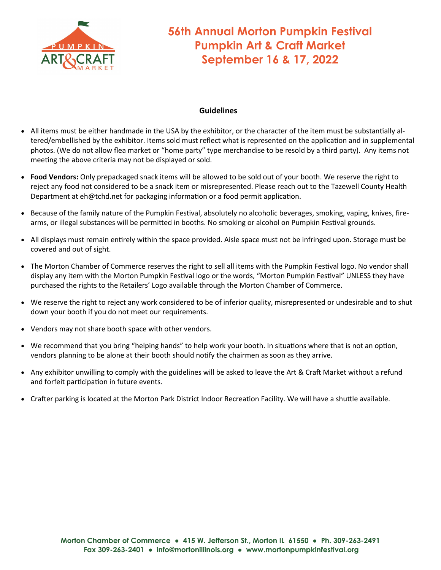

# **56th Annual Morton Pumpkin Festival Pumpkin Art & Craft Market September 16 & 17, 2022**

# **Guidelines**

- All items must be either handmade in the USA by the exhibitor, or the character of the item must be substantially altered/embellished by the exhibitor. Items sold must reflect what is represented on the application and in supplemental photos. (We do not allow flea market or "home party" type merchandise to be resold by a third party). Any items not meeting the above criteria may not be displayed or sold.
- **Food Vendors:** Only prepackaged snack items will be allowed to be sold out of your booth. We reserve the right to reject any food not considered to be a snack item or misrepresented. Please reach out to the Tazewell County Health Department at eh@tchd.net for packaging information or a food permit application.
- Because of the family nature of the Pumpkin Festival, absolutely no alcoholic beverages, smoking, vaping, knives, firearms, or illegal substances will be permitted in booths. No smoking or alcohol on Pumpkin Festival grounds.
- All displays must remain entirely within the space provided. Aisle space must not be infringed upon. Storage must be covered and out of sight.
- The Morton Chamber of Commerce reserves the right to sell all items with the Pumpkin Festival logo. No vendor shall display any item with the Morton Pumpkin Festival logo or the words, "Morton Pumpkin Festival" UNLESS they have purchased the rights to the Retailers' Logo available through the Morton Chamber of Commerce.
- We reserve the right to reject any work considered to be of inferior quality, misrepresented or undesirable and to shut down your booth if you do not meet our requirements.
- Vendors may not share booth space with other vendors.
- We recommend that you bring "helping hands" to help work your booth. In situations where that is not an option, vendors planning to be alone at their booth should notify the chairmen as soon as they arrive.
- Any exhibitor unwilling to comply with the guidelines will be asked to leave the Art & Craft Market without a refund and forfeit participation in future events.
- Crafter parking is located at the Morton Park District Indoor Recreation Facility. We will have a shuttle available.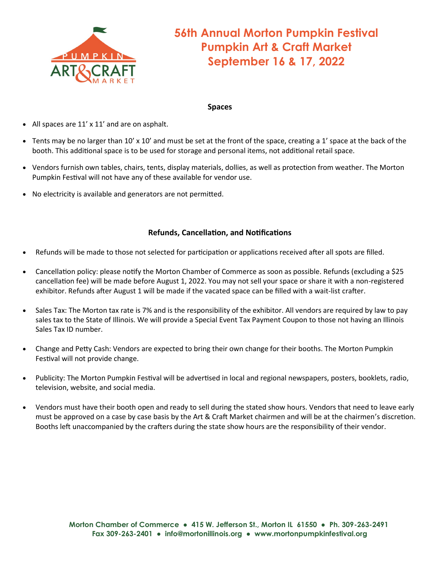

# **56th Annual Morton Pumpkin Festival Pumpkin Art & Craft Market September 16 & 17, 2022**

## **Spaces**

- All spaces are 11' x 11' and are on asphalt.
- Tents may be no larger than 10' x 10' and must be set at the front of the space, creating a 1' space at the back of the booth. This additional space is to be used for storage and personal items, not additional retail space.
- Vendors furnish own tables, chairs, tents, display materials, dollies, as well as protection from weather. The Morton Pumpkin Festival will not have any of these available for vendor use.
- No electricity is available and generators are not permitted.

# **Refunds, Cancellation, and Notifications**

- Refunds will be made to those not selected for participation or applications received after all spots are filled.
- Cancellation policy: please notify the Morton Chamber of Commerce as soon as possible. Refunds (excluding a \$25 cancellation fee) will be made before August 1, 2022. You may not sell your space or share it with a non-registered exhibitor. Refunds after August 1 will be made if the vacated space can be filled with a wait-list crafter.
- Sales Tax: The Morton tax rate is 7% and is the responsibility of the exhibitor. All vendors are required by law to pay sales tax to the State of Illinois. We will provide a Special Event Tax Payment Coupon to those not having an Illinois Sales Tax ID number.
- Change and Petty Cash: Vendors are expected to bring their own change for their booths. The Morton Pumpkin Festival will not provide change.
- Publicity: The Morton Pumpkin Festival will be advertised in local and regional newspapers, posters, booklets, radio, television, website, and social media.
- Vendors must have their booth open and ready to sell during the stated show hours. Vendors that need to leave early must be approved on a case by case basis by the Art & Craft Market chairmen and will be at the chairmen's discretion. Booths left unaccompanied by the crafters during the state show hours are the responsibility of their vendor.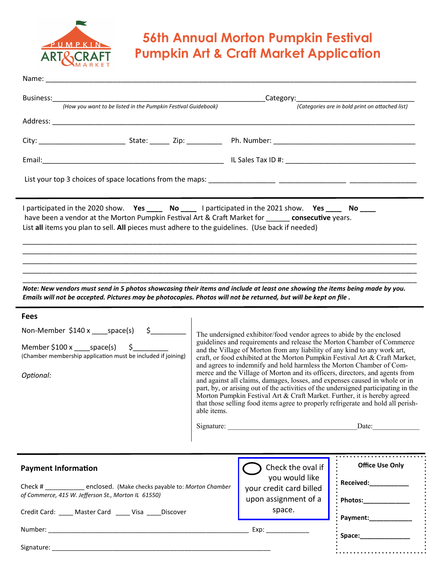

# **56th Annual Morton Pumpkin Festival Pumpkin Art & Craft Market Application**

| <b>Business:</b><br>(How you want to be listed in the Pumpkin Festival Guidebook)                                                                                                                                                                                                                                                                                                                                                                                                                                                                            |                                                                                                                                                                                                                                                                                                                                                                                                                                                                                                                                                                                                                                                                                                                                                | _Category:_______________________<br>(Categories are in bold print on attached list) |                                                                       |  |
|--------------------------------------------------------------------------------------------------------------------------------------------------------------------------------------------------------------------------------------------------------------------------------------------------------------------------------------------------------------------------------------------------------------------------------------------------------------------------------------------------------------------------------------------------------------|------------------------------------------------------------------------------------------------------------------------------------------------------------------------------------------------------------------------------------------------------------------------------------------------------------------------------------------------------------------------------------------------------------------------------------------------------------------------------------------------------------------------------------------------------------------------------------------------------------------------------------------------------------------------------------------------------------------------------------------------|--------------------------------------------------------------------------------------|-----------------------------------------------------------------------|--|
|                                                                                                                                                                                                                                                                                                                                                                                                                                                                                                                                                              |                                                                                                                                                                                                                                                                                                                                                                                                                                                                                                                                                                                                                                                                                                                                                |                                                                                      |                                                                       |  |
|                                                                                                                                                                                                                                                                                                                                                                                                                                                                                                                                                              |                                                                                                                                                                                                                                                                                                                                                                                                                                                                                                                                                                                                                                                                                                                                                |                                                                                      |                                                                       |  |
|                                                                                                                                                                                                                                                                                                                                                                                                                                                                                                                                                              |                                                                                                                                                                                                                                                                                                                                                                                                                                                                                                                                                                                                                                                                                                                                                |                                                                                      |                                                                       |  |
|                                                                                                                                                                                                                                                                                                                                                                                                                                                                                                                                                              |                                                                                                                                                                                                                                                                                                                                                                                                                                                                                                                                                                                                                                                                                                                                                |                                                                                      |                                                                       |  |
| I participated in the 2020 show. Yes _____ No _____ I participated in the 2021 show. Yes _____ No ____<br>have been a vendor at the Morton Pumpkin Festival Art & Craft Market for consecutive years.<br>List all items you plan to sell. All pieces must adhere to the guidelines. (Use back if needed)<br>Note: New vendors must send in 5 photos showcasing their items and include at least one showing the items being made by you.<br>Emails will not be accepted. Pictures may be photocopies. Photos will not be returned, but will be kept on file. |                                                                                                                                                                                                                                                                                                                                                                                                                                                                                                                                                                                                                                                                                                                                                |                                                                                      |                                                                       |  |
| <b>Fees</b>                                                                                                                                                                                                                                                                                                                                                                                                                                                                                                                                                  |                                                                                                                                                                                                                                                                                                                                                                                                                                                                                                                                                                                                                                                                                                                                                |                                                                                      |                                                                       |  |
| Non-Member $$140 x$ ____space(s) $$$ ________                                                                                                                                                                                                                                                                                                                                                                                                                                                                                                                |                                                                                                                                                                                                                                                                                                                                                                                                                                                                                                                                                                                                                                                                                                                                                |                                                                                      | The undersigned exhibitor/food vendor agrees to abide by the enclosed |  |
| Member $$100 x$ _____space(s) $$$ _______<br>(Chamber membership application must be included if joining)                                                                                                                                                                                                                                                                                                                                                                                                                                                    | guidelines and requirements and release the Morton Chamber of Commerce<br>and the Village of Morton from any liability of any kind to any work art,<br>craft, or food exhibited at the Morton Pumpkin Festival Art & Craft Market,<br>and agrees to indemnify and hold harmless the Morton Chamber of Com-<br>merce and the Village of Morton and its officers, directors, and agents from<br>and against all claims, damages, losses, and expenses caused in whole or in<br>part, by, or arising out of the activities of the undersigned participating in the<br>Morton Pumpkin Festival Art & Craft Market. Further, it is hereby agreed<br>that those selling food items agree to properly refrigerate and hold all perish-<br>able items. |                                                                                      |                                                                       |  |
| Optional:                                                                                                                                                                                                                                                                                                                                                                                                                                                                                                                                                    |                                                                                                                                                                                                                                                                                                                                                                                                                                                                                                                                                                                                                                                                                                                                                |                                                                                      |                                                                       |  |
|                                                                                                                                                                                                                                                                                                                                                                                                                                                                                                                                                              |                                                                                                                                                                                                                                                                                                                                                                                                                                                                                                                                                                                                                                                                                                                                                |                                                                                      | Date:                                                                 |  |
|                                                                                                                                                                                                                                                                                                                                                                                                                                                                                                                                                              |                                                                                                                                                                                                                                                                                                                                                                                                                                                                                                                                                                                                                                                                                                                                                |                                                                                      |                                                                       |  |
| <b>Payment Information</b>                                                                                                                                                                                                                                                                                                                                                                                                                                                                                                                                   |                                                                                                                                                                                                                                                                                                                                                                                                                                                                                                                                                                                                                                                                                                                                                | Check the oval if<br>you would like                                                  | <b>Office Use Only</b>                                                |  |
| Check # _____________ enclosed. (Make checks payable to: Morton Chamber                                                                                                                                                                                                                                                                                                                                                                                                                                                                                      |                                                                                                                                                                                                                                                                                                                                                                                                                                                                                                                                                                                                                                                                                                                                                | your credit card billed                                                              | Received: Necessary Management of the Received Section 1              |  |

*of Commerce, 415 W. Jefferson St., Morton IL 61550)*

Credit Card: \_\_\_\_ Master Card \_\_\_\_ Visa \_\_\_\_Discover

Signature:

Number: \_\_\_\_\_\_\_\_\_\_\_\_\_\_\_\_\_\_\_\_\_\_\_\_\_\_\_\_\_\_\_\_\_\_\_\_\_\_\_\_\_\_\_\_\_\_\_\_\_\_\_\_\_\_\_\_ Exp: \_\_\_\_\_\_\_\_\_\_\_\_

upon assignment of a space.

| : Received:                     |  |
|---------------------------------|--|
| $:$ Photos: $\_\_\_\_\_\_\_\_\$ |  |
| Payment:                        |  |
| : Space:__                      |  |
|                                 |  |